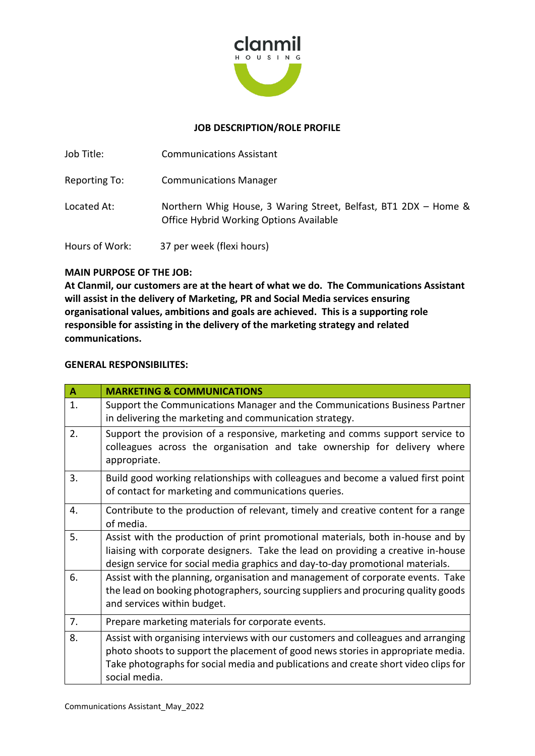

# **JOB DESCRIPTION/ROLE PROFILE**

| Job Title:     | <b>Communications Assistant</b>                                                                            |
|----------------|------------------------------------------------------------------------------------------------------------|
| Reporting To:  | <b>Communications Manager</b>                                                                              |
| Located At:    | Northern Whig House, 3 Waring Street, Belfast, BT1 2DX - Home &<br>Office Hybrid Working Options Available |
| Hours of Work: | 37 per week (flexi hours)                                                                                  |

## **MAIN PURPOSE OF THE JOB:**

**At Clanmil, our customers are at the heart of what we do. The Communications Assistant will assist in the delivery of Marketing, PR and Social Media services ensuring organisational values, ambitions and goals are achieved. This is a supporting role responsible for assisting in the delivery of the marketing strategy and related communications.**

## **GENERAL RESPONSIBILITES:**

| $\mathbf{A}$     | <b>MARKETING &amp; COMMUNICATIONS</b>                                                                                                                                                                                                                                         |  |  |
|------------------|-------------------------------------------------------------------------------------------------------------------------------------------------------------------------------------------------------------------------------------------------------------------------------|--|--|
| $\overline{1}$ . | Support the Communications Manager and the Communications Business Partner<br>in delivering the marketing and communication strategy.                                                                                                                                         |  |  |
| 2.               | Support the provision of a responsive, marketing and comms support service to<br>colleagues across the organisation and take ownership for delivery where<br>appropriate.                                                                                                     |  |  |
| 3.               | Build good working relationships with colleagues and become a valued first point<br>of contact for marketing and communications queries.                                                                                                                                      |  |  |
| 4.               | Contribute to the production of relevant, timely and creative content for a range<br>of media.                                                                                                                                                                                |  |  |
| 5.               | Assist with the production of print promotional materials, both in-house and by<br>liaising with corporate designers. Take the lead on providing a creative in-house<br>design service for social media graphics and day-to-day promotional materials.                        |  |  |
| 6.               | Assist with the planning, organisation and management of corporate events. Take<br>the lead on booking photographers, sourcing suppliers and procuring quality goods<br>and services within budget.                                                                           |  |  |
| 7.               | Prepare marketing materials for corporate events.                                                                                                                                                                                                                             |  |  |
| 8.               | Assist with organising interviews with our customers and colleagues and arranging<br>photo shoots to support the placement of good news stories in appropriate media.<br>Take photographs for social media and publications and create short video clips for<br>social media. |  |  |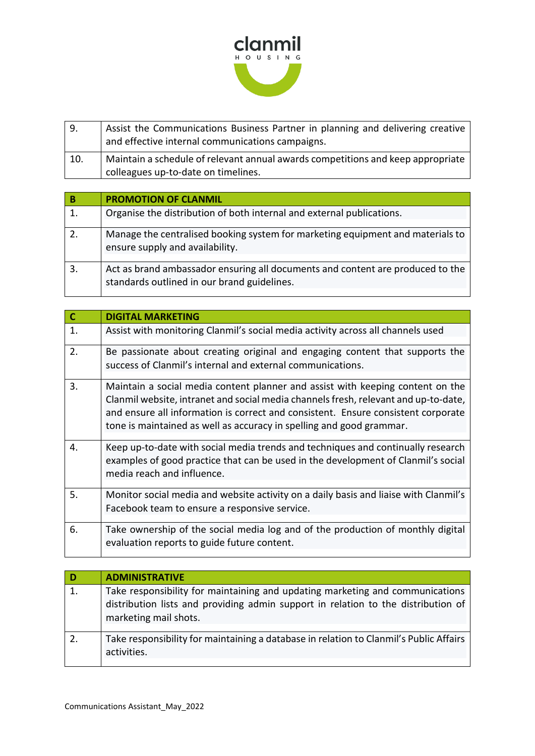

| l 9. | Assist the Communications Business Partner in planning and delivering creative<br>and effective internal communications campaigns. |
|------|------------------------------------------------------------------------------------------------------------------------------------|
| 10.  | Maintain a schedule of relevant annual awards competitions and keep appropriate<br>colleagues up-to-date on timelines.             |

| В  | <b>PROMOTION OF CLANMIL</b>                                                                                                   |
|----|-------------------------------------------------------------------------------------------------------------------------------|
|    | Organise the distribution of both internal and external publications.                                                         |
|    | Manage the centralised booking system for marketing equipment and materials to<br>ensure supply and availability.             |
| 3. | Act as brand ambassador ensuring all documents and content are produced to the<br>standards outlined in our brand guidelines. |

| $\overline{\mathsf{c}}$ | <b>DIGITAL MARKETING</b>                                                                                                                                                                                                                                                                                                           |  |  |
|-------------------------|------------------------------------------------------------------------------------------------------------------------------------------------------------------------------------------------------------------------------------------------------------------------------------------------------------------------------------|--|--|
| 1.                      | Assist with monitoring Clanmil's social media activity across all channels used                                                                                                                                                                                                                                                    |  |  |
| 2.                      | Be passionate about creating original and engaging content that supports the<br>success of Clanmil's internal and external communications.                                                                                                                                                                                         |  |  |
| 3.                      | Maintain a social media content planner and assist with keeping content on the<br>Clanmil website, intranet and social media channels fresh, relevant and up-to-date,<br>and ensure all information is correct and consistent. Ensure consistent corporate<br>tone is maintained as well as accuracy in spelling and good grammar. |  |  |
| 4.                      | Keep up-to-date with social media trends and techniques and continually research<br>examples of good practice that can be used in the development of Clanmil's social<br>media reach and influence.                                                                                                                                |  |  |
| 5.                      | Monitor social media and website activity on a daily basis and liaise with Clanmil's<br>Facebook team to ensure a responsive service.                                                                                                                                                                                              |  |  |
| 6.                      | Take ownership of the social media log and of the production of monthly digital<br>evaluation reports to guide future content.                                                                                                                                                                                                     |  |  |

| l D | <b>ADMINISTRATIVE</b>                                                                                                                                                                       |
|-----|---------------------------------------------------------------------------------------------------------------------------------------------------------------------------------------------|
| 1.  | Take responsibility for maintaining and updating marketing and communications<br>distribution lists and providing admin support in relation to the distribution of<br>marketing mail shots. |
|     | Take responsibility for maintaining a database in relation to Clanmil's Public Affairs<br>activities.                                                                                       |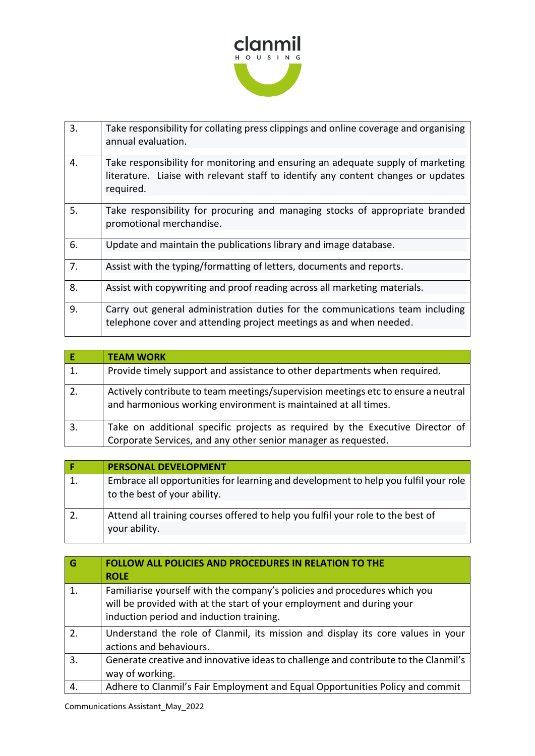

| 3. | Take responsibility for collating press clippings and online coverage and organising<br>annual evaluation.                                                                        |
|----|-----------------------------------------------------------------------------------------------------------------------------------------------------------------------------------|
| 4. | Take responsibility for monitoring and ensuring an adequate supply of marketing<br>literature. Liaise with relevant staff to identify any content changes or updates<br>required. |
| 5. | Take responsibility for procuring and managing stocks of appropriate branded<br>promotional merchandise.                                                                          |
| 6. | Update and maintain the publications library and image database.                                                                                                                  |
| 7. | Assist with the typing/formatting of letters, documents and reports.                                                                                                              |
| 8. | Assist with copywriting and proof reading across all marketing materials.                                                                                                         |
| 9. | Carry out general administration duties for the communications team including<br>telephone cover and attending project meetings as and when needed.                               |

| E/ | <b>TEAM WORK</b>                                                                                                                                    |
|----|-----------------------------------------------------------------------------------------------------------------------------------------------------|
| 1. | Provide timely support and assistance to other departments when required.                                                                           |
| 2. | Actively contribute to team meetings/supervision meetings etc to ensure a neutral<br>and harmonious working environment is maintained at all times. |
| 3. | Take on additional specific projects as required by the Executive Director of<br>Corporate Services, and any other senior manager as requested.     |

| <b>PERSONAL DEVELOPMENT</b>                                                                                         |
|---------------------------------------------------------------------------------------------------------------------|
| Embrace all opportunities for learning and development to help you fulfil your role<br>to the best of your ability. |
| Attend all training courses offered to help you fulfil your role to the best of<br>your ability.                    |

| $\overline{\mathsf{G}}$ | <b>FOLLOW ALL POLICIES AND PROCEDURES IN RELATION TO THE</b><br><b>ROLE</b>                                                                                                                    |
|-------------------------|------------------------------------------------------------------------------------------------------------------------------------------------------------------------------------------------|
| $\mathbf{1}$ .          | Familiarise yourself with the company's policies and procedures which you<br>will be provided with at the start of your employment and during your<br>induction period and induction training. |
| 2.                      | Understand the role of Clanmil, its mission and display its core values in your<br>actions and behaviours.                                                                                     |
| 3.                      | Generate creative and innovative ideas to challenge and contribute to the Clanmil's<br>way of working.                                                                                         |
|                         | Adhere to Clanmil's Fair Employment and Equal Opportunities Policy and commit                                                                                                                  |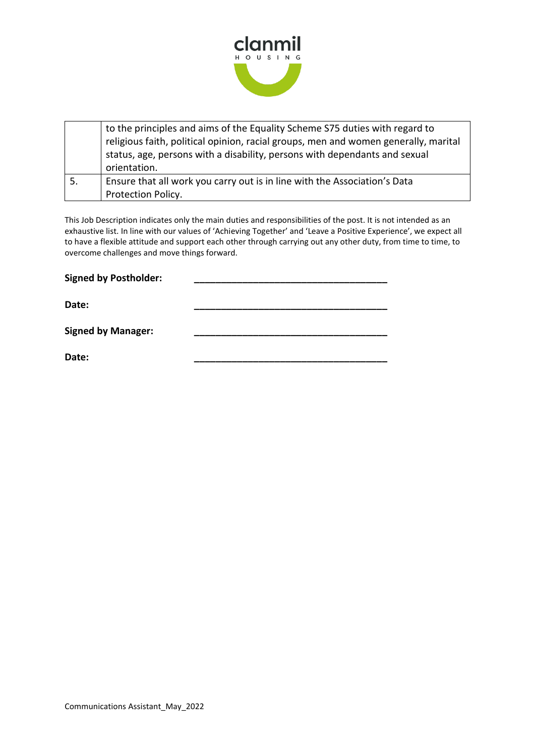

|    | to the principles and aims of the Equality Scheme S75 duties with regard to<br>religious faith, political opinion, racial groups, men and women generally, marital<br>status, age, persons with a disability, persons with dependants and sexual<br>orientation. |
|----|------------------------------------------------------------------------------------------------------------------------------------------------------------------------------------------------------------------------------------------------------------------|
| 5. | Ensure that all work you carry out is in line with the Association's Data                                                                                                                                                                                        |
|    | Protection Policy.                                                                                                                                                                                                                                               |

This Job Description indicates only the main duties and responsibilities of the post. It is not intended as an exhaustive list. In line with our values of 'Achieving Together' and 'Leave a Positive Experience', we expect all to have a flexible attitude and support each other through carrying out any other duty, from time to time, to overcome challenges and move things forward.

| <b>Signed by Postholder:</b> |  |  |
|------------------------------|--|--|
| Date:                        |  |  |

**Signed by Manager: \_\_\_\_\_\_\_\_\_\_\_\_\_\_\_\_\_\_\_\_\_\_\_\_\_\_\_\_\_\_\_\_\_\_\_\_** 

**Date: \_\_\_\_\_\_\_\_\_\_\_\_\_\_\_\_\_\_\_\_\_\_\_\_\_\_\_\_\_\_\_\_\_\_\_\_**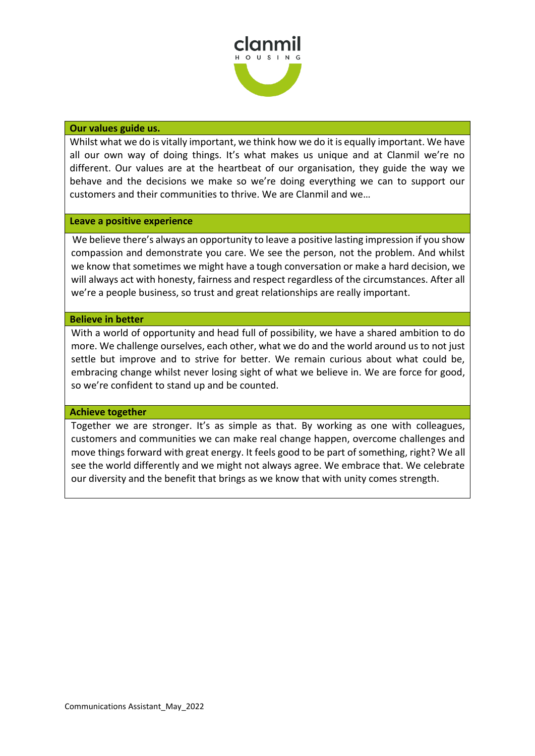

#### **Our values guide us.**

Whilst what we do is vitally important, we think how we do it is equally important. We have all our own way of doing things. It's what makes us unique and at Clanmil we're no different. Our values are at the heartbeat of our organisation, they guide the way we behave and the decisions we make so we're doing everything we can to support our customers and their communities to thrive. We are Clanmil and we…

### **Leave a positive experience**

We believe there's always an opportunity to leave a positive lasting impression if you show compassion and demonstrate you care. We see the person, not the problem. And whilst we know that sometimes we might have a tough conversation or make a hard decision, we will always act with honesty, fairness and respect regardless of the circumstances. After all we're a people business, so trust and great relationships are really important.

### **Believe in better**

With a world of opportunity and head full of possibility, we have a shared ambition to do more. We challenge ourselves, each other, what we do and the world around us to not just settle but improve and to strive for better. We remain curious about what could be, embracing change whilst never losing sight of what we believe in. We are force for good, so we're confident to stand up and be counted.

## **Achieve together**

Together we are stronger. It's as simple as that. By working as one with colleagues, customers and communities we can make real change happen, overcome challenges and move things forward with great energy. It feels good to be part of something, right? We all see the world differently and we might not always agree. We embrace that. We celebrate our diversity and the benefit that brings as we know that with unity comes strength.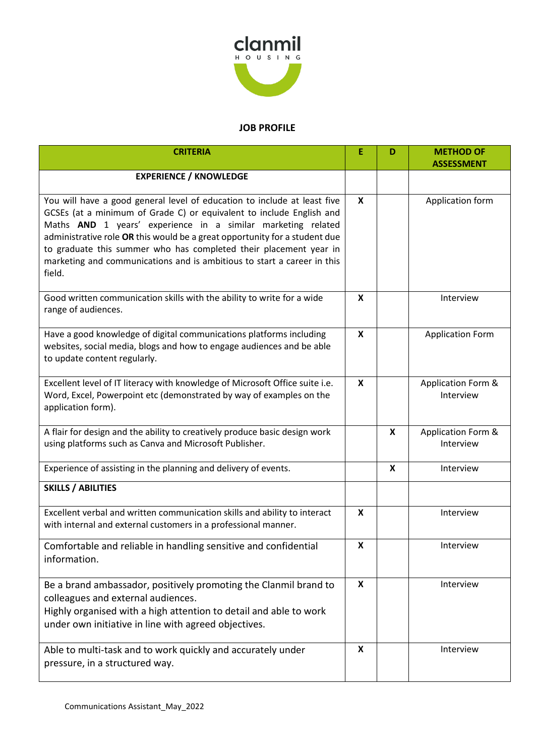

# **JOB PROFILE**

| <b>CRITERIA</b>                                                                                                                                                                                                                                                                                                                                                                                                                                          | Ε                         | D | <b>METHOD OF</b><br><b>ASSESSMENT</b> |
|----------------------------------------------------------------------------------------------------------------------------------------------------------------------------------------------------------------------------------------------------------------------------------------------------------------------------------------------------------------------------------------------------------------------------------------------------------|---------------------------|---|---------------------------------------|
| <b>EXPERIENCE / KNOWLEDGE</b>                                                                                                                                                                                                                                                                                                                                                                                                                            |                           |   |                                       |
| You will have a good general level of education to include at least five<br>GCSEs (at a minimum of Grade C) or equivalent to include English and<br>Maths AND 1 years' experience in a similar marketing related<br>administrative role OR this would be a great opportunity for a student due<br>to graduate this summer who has completed their placement year in<br>marketing and communications and is ambitious to start a career in this<br>field. | $\boldsymbol{x}$          |   | Application form                      |
| Good written communication skills with the ability to write for a wide<br>range of audiences.                                                                                                                                                                                                                                                                                                                                                            | $\boldsymbol{\mathsf{x}}$ |   | Interview                             |
| Have a good knowledge of digital communications platforms including<br>websites, social media, blogs and how to engage audiences and be able<br>to update content regularly.                                                                                                                                                                                                                                                                             | X                         |   | <b>Application Form</b>               |
| Excellent level of IT literacy with knowledge of Microsoft Office suite i.e.<br>Word, Excel, Powerpoint etc (demonstrated by way of examples on the<br>application form).                                                                                                                                                                                                                                                                                | X                         |   | Application Form &<br>Interview       |
| A flair for design and the ability to creatively produce basic design work<br>using platforms such as Canva and Microsoft Publisher.                                                                                                                                                                                                                                                                                                                     |                           | X | Application Form &<br>Interview       |
| Experience of assisting in the planning and delivery of events.                                                                                                                                                                                                                                                                                                                                                                                          |                           | X | Interview                             |
| <b>SKILLS / ABILITIES</b>                                                                                                                                                                                                                                                                                                                                                                                                                                |                           |   |                                       |
| Excellent verbal and written communication skills and ability to interact<br>with internal and external customers in a professional manner.                                                                                                                                                                                                                                                                                                              | $\boldsymbol{\mathsf{x}}$ |   | Interview                             |
| Comfortable and reliable in handling sensitive and confidential<br>information.                                                                                                                                                                                                                                                                                                                                                                          | X                         |   | Interview                             |
| Be a brand ambassador, positively promoting the Clanmil brand to<br>colleagues and external audiences.<br>Highly organised with a high attention to detail and able to work<br>under own initiative in line with agreed objectives.                                                                                                                                                                                                                      | X                         |   | Interview                             |
| Able to multi-task and to work quickly and accurately under<br>pressure, in a structured way.                                                                                                                                                                                                                                                                                                                                                            | X                         |   | Interview                             |